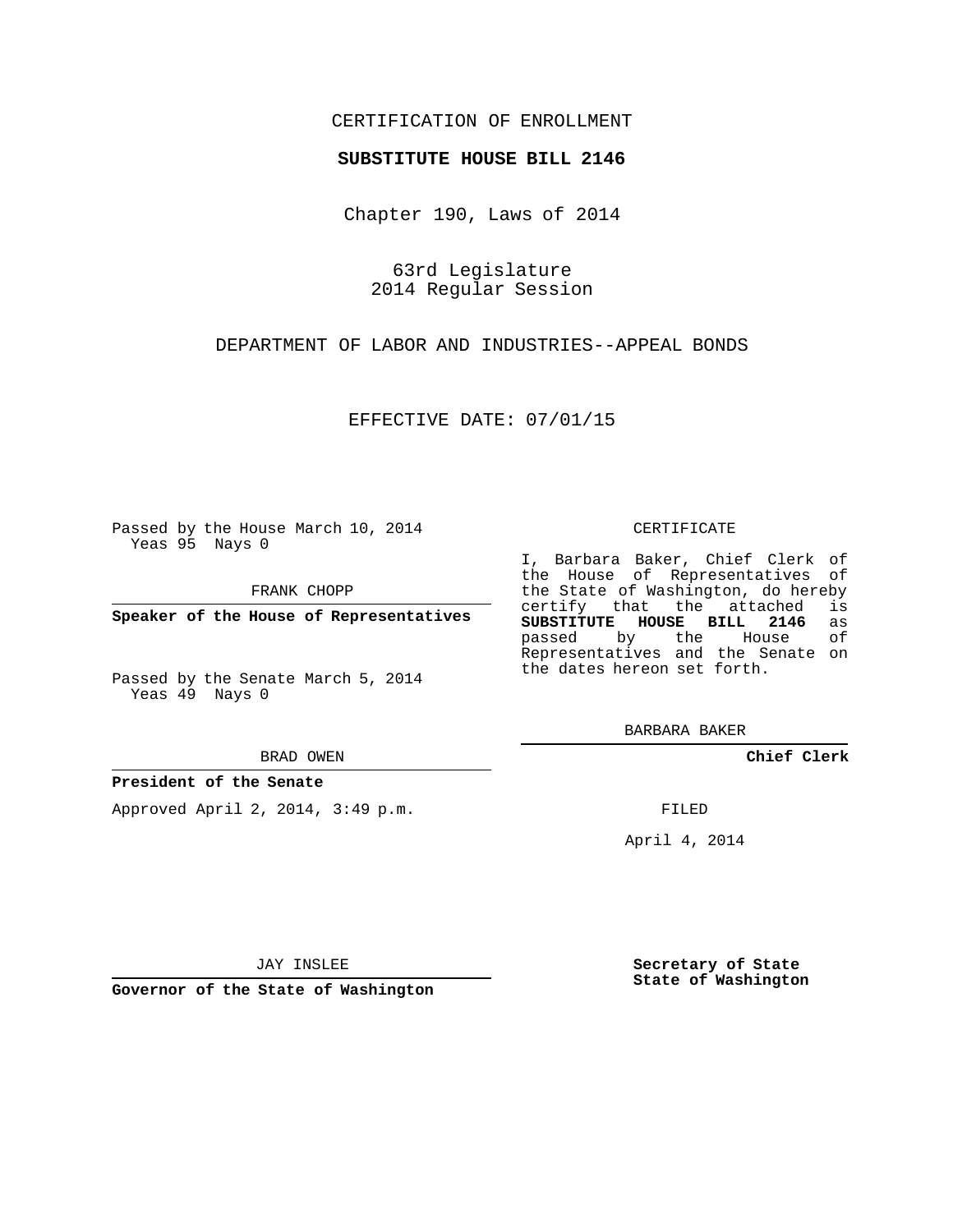## CERTIFICATION OF ENROLLMENT

### **SUBSTITUTE HOUSE BILL 2146**

Chapter 190, Laws of 2014

63rd Legislature 2014 Regular Session

DEPARTMENT OF LABOR AND INDUSTRIES--APPEAL BONDS

EFFECTIVE DATE: 07/01/15

Passed by the House March 10, 2014 Yeas 95 Nays 0

FRANK CHOPP

**Speaker of the House of Representatives**

Passed by the Senate March 5, 2014 Yeas 49 Nays 0

BRAD OWEN

### **President of the Senate**

Approved April 2, 2014, 3:49 p.m.

#### CERTIFICATE

I, Barbara Baker, Chief Clerk of the House of Representatives of the State of Washington, do hereby<br>certify that the attached is certify that the attached **SUBSTITUTE HOUSE BILL 2146** as passed by the Representatives and the Senate on the dates hereon set forth.

BARBARA BAKER

**Chief Clerk**

FILED

April 4, 2014

JAY INSLEE

**Governor of the State of Washington**

**Secretary of State State of Washington**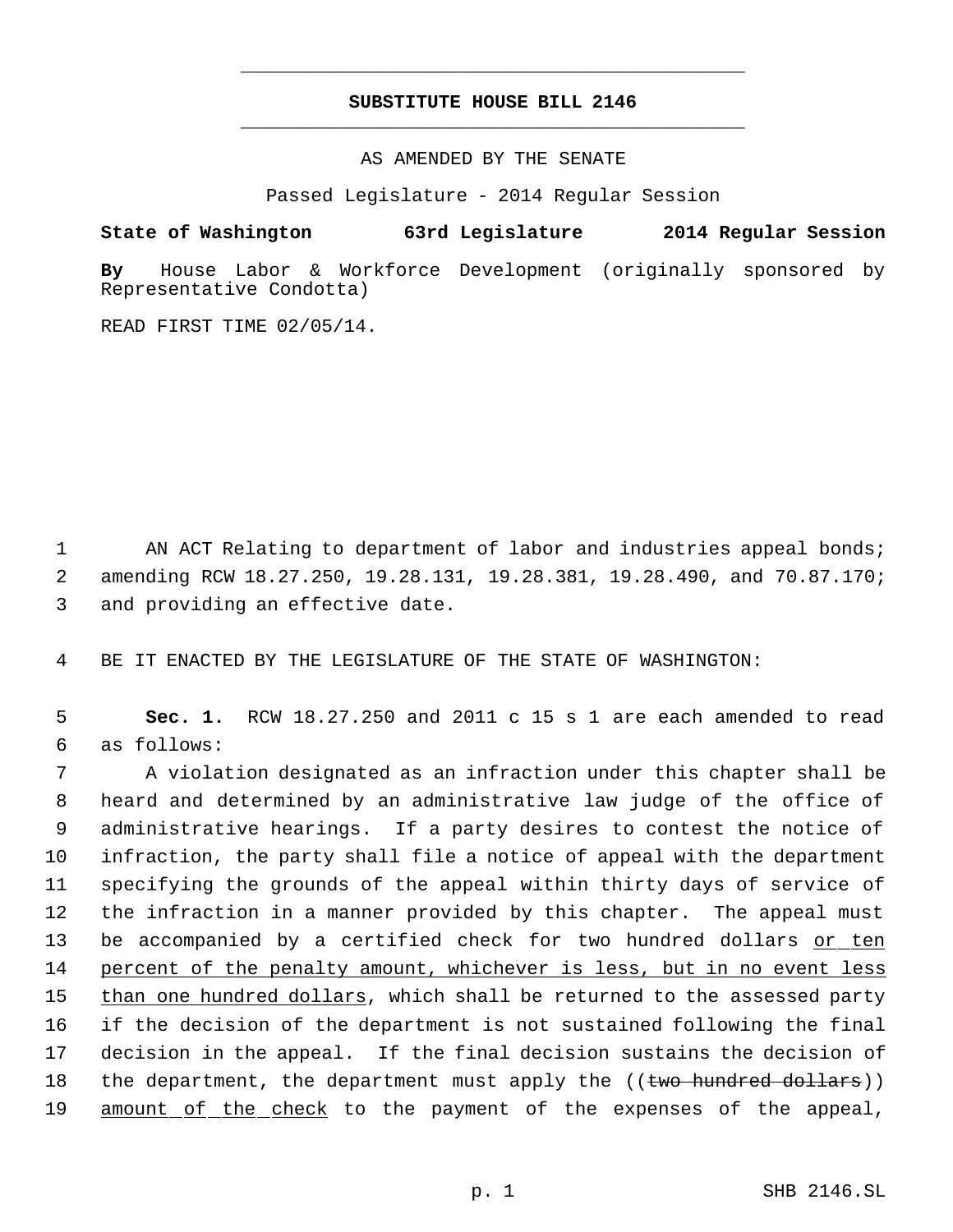# **SUBSTITUTE HOUSE BILL 2146** \_\_\_\_\_\_\_\_\_\_\_\_\_\_\_\_\_\_\_\_\_\_\_\_\_\_\_\_\_\_\_\_\_\_\_\_\_\_\_\_\_\_\_\_\_

\_\_\_\_\_\_\_\_\_\_\_\_\_\_\_\_\_\_\_\_\_\_\_\_\_\_\_\_\_\_\_\_\_\_\_\_\_\_\_\_\_\_\_\_\_

AS AMENDED BY THE SENATE

Passed Legislature - 2014 Regular Session

**State of Washington 63rd Legislature 2014 Regular Session**

**By** House Labor & Workforce Development (originally sponsored by Representative Condotta)

READ FIRST TIME 02/05/14.

1 AN ACT Relating to department of labor and industries appeal bonds; 2 amending RCW 18.27.250, 19.28.131, 19.28.381, 19.28.490, and 70.87.170; 3 and providing an effective date.

4 BE IT ENACTED BY THE LEGISLATURE OF THE STATE OF WASHINGTON:

 5 **Sec. 1.** RCW 18.27.250 and 2011 c 15 s 1 are each amended to read 6 as follows:

 A violation designated as an infraction under this chapter shall be heard and determined by an administrative law judge of the office of administrative hearings. If a party desires to contest the notice of infraction, the party shall file a notice of appeal with the department specifying the grounds of the appeal within thirty days of service of the infraction in a manner provided by this chapter. The appeal must 13 be accompanied by a certified check for two hundred dollars or ten 14 percent of the penalty amount, whichever is less, but in no event less 15 than one hundred dollars, which shall be returned to the assessed party if the decision of the department is not sustained following the final decision in the appeal. If the final decision sustains the decision of 18 the department, the department must apply the ((two hundred dollars)) 19 amount of the check to the payment of the expenses of the appeal,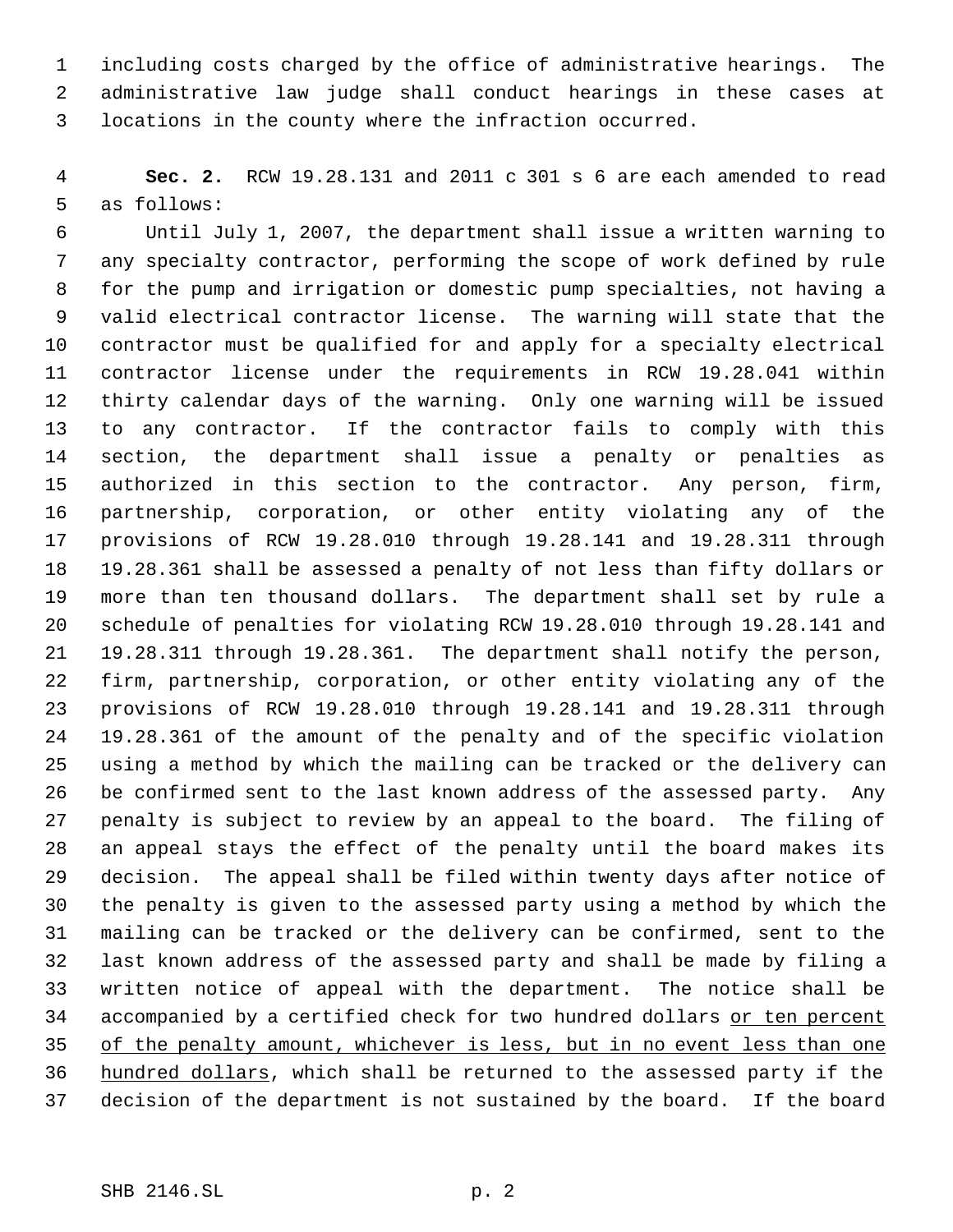including costs charged by the office of administrative hearings. The administrative law judge shall conduct hearings in these cases at locations in the county where the infraction occurred.

 **Sec. 2.** RCW 19.28.131 and 2011 c 301 s 6 are each amended to read as follows:

 Until July 1, 2007, the department shall issue a written warning to any specialty contractor, performing the scope of work defined by rule for the pump and irrigation or domestic pump specialties, not having a valid electrical contractor license. The warning will state that the contractor must be qualified for and apply for a specialty electrical contractor license under the requirements in RCW 19.28.041 within thirty calendar days of the warning. Only one warning will be issued to any contractor. If the contractor fails to comply with this section, the department shall issue a penalty or penalties as authorized in this section to the contractor. Any person, firm, partnership, corporation, or other entity violating any of the provisions of RCW 19.28.010 through 19.28.141 and 19.28.311 through 19.28.361 shall be assessed a penalty of not less than fifty dollars or more than ten thousand dollars. The department shall set by rule a schedule of penalties for violating RCW 19.28.010 through 19.28.141 and 19.28.311 through 19.28.361. The department shall notify the person, firm, partnership, corporation, or other entity violating any of the provisions of RCW 19.28.010 through 19.28.141 and 19.28.311 through 19.28.361 of the amount of the penalty and of the specific violation using a method by which the mailing can be tracked or the delivery can be confirmed sent to the last known address of the assessed party. Any penalty is subject to review by an appeal to the board. The filing of an appeal stays the effect of the penalty until the board makes its decision. The appeal shall be filed within twenty days after notice of the penalty is given to the assessed party using a method by which the mailing can be tracked or the delivery can be confirmed, sent to the last known address of the assessed party and shall be made by filing a written notice of appeal with the department. The notice shall be 34 accompanied by a certified check for two hundred dollars or ten percent of the penalty amount, whichever is less, but in no event less than one hundred dollars, which shall be returned to the assessed party if the decision of the department is not sustained by the board. If the board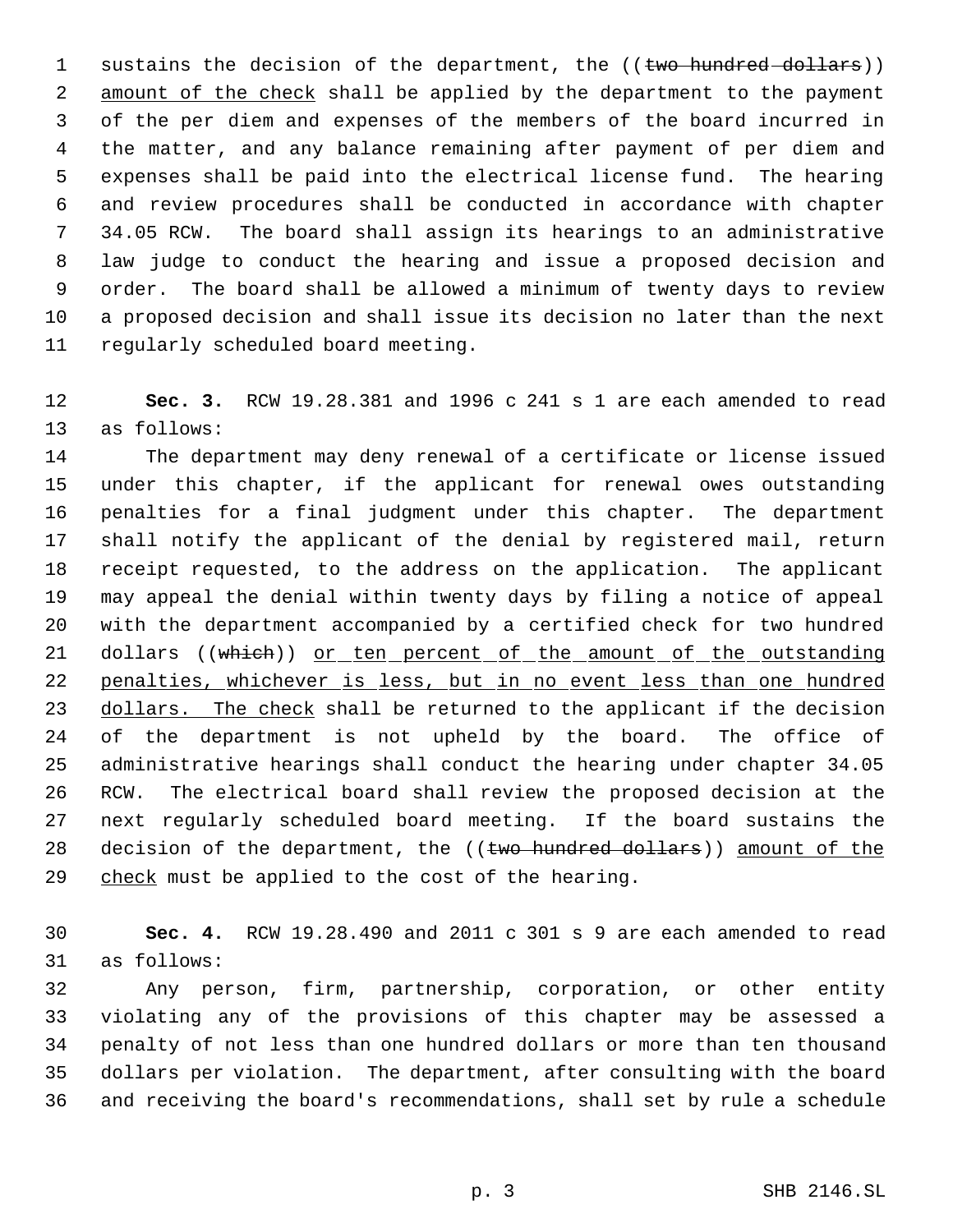1 sustains the decision of the department, the ((two hundred dollars)) 2 amount of the check shall be applied by the department to the payment of the per diem and expenses of the members of the board incurred in the matter, and any balance remaining after payment of per diem and expenses shall be paid into the electrical license fund. The hearing and review procedures shall be conducted in accordance with chapter 34.05 RCW. The board shall assign its hearings to an administrative law judge to conduct the hearing and issue a proposed decision and order. The board shall be allowed a minimum of twenty days to review a proposed decision and shall issue its decision no later than the next regularly scheduled board meeting.

 **Sec. 3.** RCW 19.28.381 and 1996 c 241 s 1 are each amended to read as follows:

 The department may deny renewal of a certificate or license issued under this chapter, if the applicant for renewal owes outstanding penalties for a final judgment under this chapter. The department shall notify the applicant of the denial by registered mail, return receipt requested, to the address on the application. The applicant may appeal the denial within twenty days by filing a notice of appeal with the department accompanied by a certified check for two hundred 21 dollars ((which)) or ten percent of the amount of the outstanding penalties, whichever is less, but in no event less than one hundred 23 dollars. The check shall be returned to the applicant if the decision 24 of the department is not upheld by the board. The office of administrative hearings shall conduct the hearing under chapter 34.05 RCW. The electrical board shall review the proposed decision at the next regularly scheduled board meeting. If the board sustains the 28 decision of the department, the ((two hundred dollars)) amount of the 29 check must be applied to the cost of the hearing.

 **Sec. 4.** RCW 19.28.490 and 2011 c 301 s 9 are each amended to read as follows:

 Any person, firm, partnership, corporation, or other entity violating any of the provisions of this chapter may be assessed a penalty of not less than one hundred dollars or more than ten thousand dollars per violation. The department, after consulting with the board and receiving the board's recommendations, shall set by rule a schedule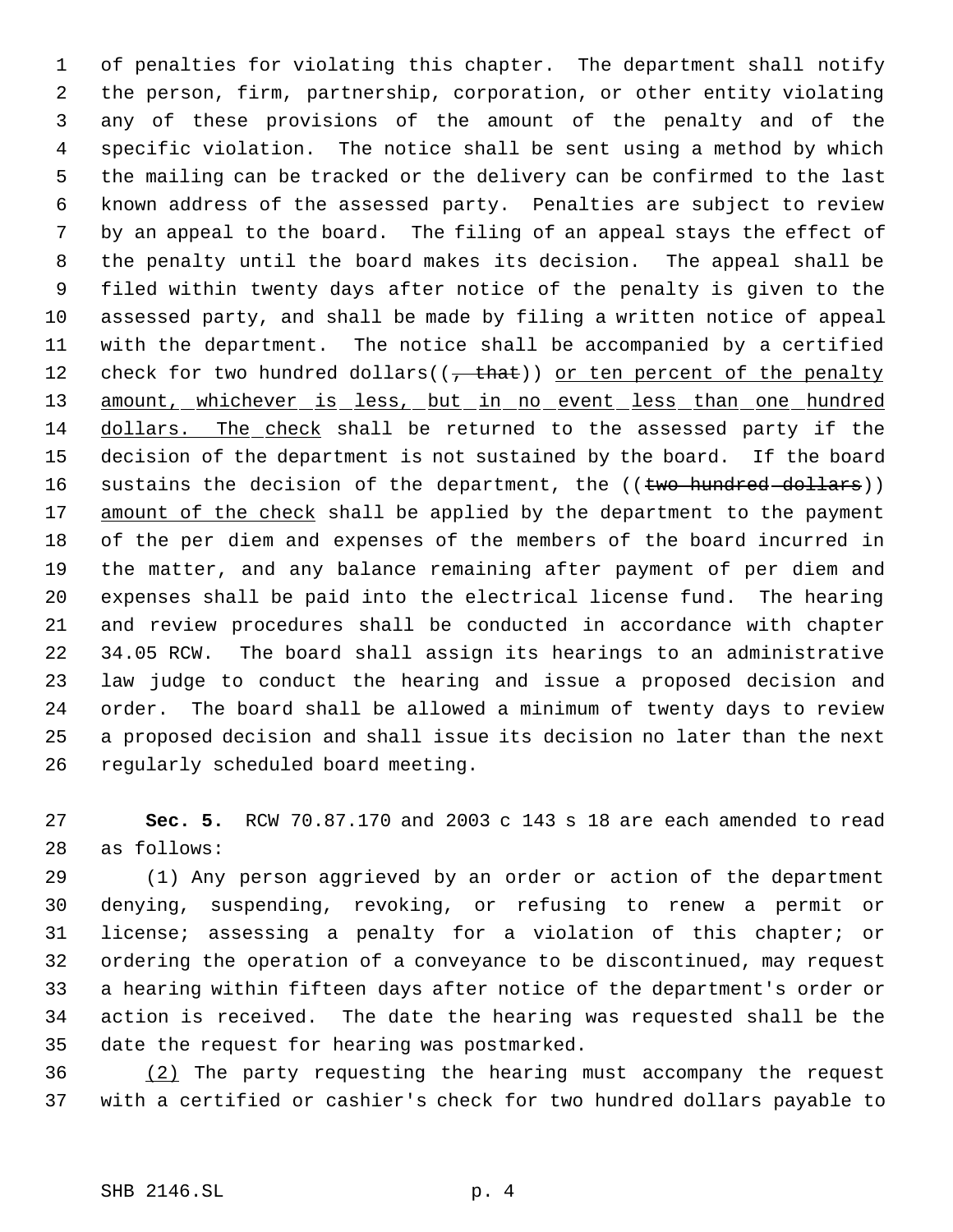of penalties for violating this chapter. The department shall notify the person, firm, partnership, corporation, or other entity violating any of these provisions of the amount of the penalty and of the specific violation. The notice shall be sent using a method by which the mailing can be tracked or the delivery can be confirmed to the last known address of the assessed party. Penalties are subject to review by an appeal to the board. The filing of an appeal stays the effect of the penalty until the board makes its decision. The appeal shall be filed within twenty days after notice of the penalty is given to the assessed party, and shall be made by filing a written notice of appeal with the department. The notice shall be accompanied by a certified 12 check for two hundred dollars( $(\tau + \text{that})$ ) or ten percent of the penalty 13 amount, whichever is less, but in no event less than one hundred dollars. The check shall be returned to the assessed party if the decision of the department is not sustained by the board. If the board 16 sustains the decision of the department, the ((two hundred dollars)) 17 amount of the check shall be applied by the department to the payment of the per diem and expenses of the members of the board incurred in the matter, and any balance remaining after payment of per diem and expenses shall be paid into the electrical license fund. The hearing and review procedures shall be conducted in accordance with chapter 34.05 RCW. The board shall assign its hearings to an administrative law judge to conduct the hearing and issue a proposed decision and order. The board shall be allowed a minimum of twenty days to review a proposed decision and shall issue its decision no later than the next regularly scheduled board meeting.

 **Sec. 5.** RCW 70.87.170 and 2003 c 143 s 18 are each amended to read as follows:

 (1) Any person aggrieved by an order or action of the department denying, suspending, revoking, or refusing to renew a permit or license; assessing a penalty for a violation of this chapter; or ordering the operation of a conveyance to be discontinued, may request a hearing within fifteen days after notice of the department's order or action is received. The date the hearing was requested shall be the date the request for hearing was postmarked.

 (2) The party requesting the hearing must accompany the request with a certified or cashier's check for two hundred dollars payable to